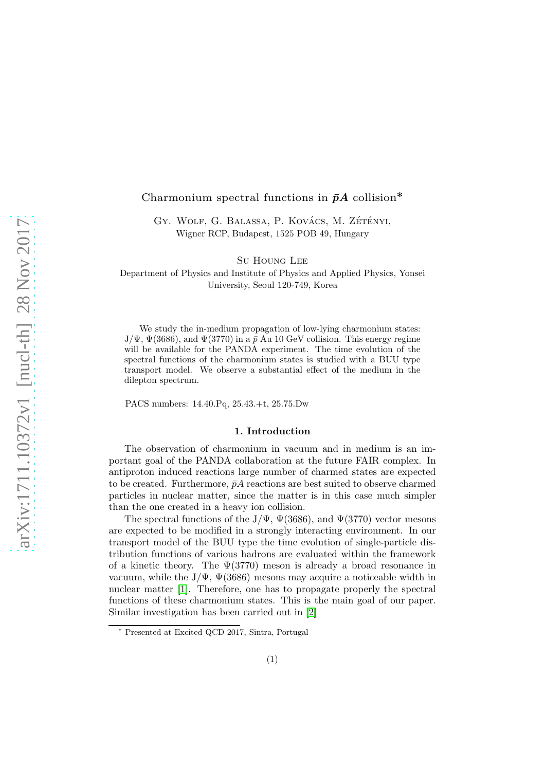# Charmonium spectral functions in  $\bar{p}A$  collision<sup>\*</sup>

GY. WOLF, G. BALASSA, P. KOVÁCS, M. ZÉTÉNYI, Wigner RCP, Budapest, 1525 POB 49, Hungary

Su Houng Lee

Department of Physics and Institute of Physics and Applied Physics, Yonsei University, Seoul 120-749, Korea

We study the in-medium propagation of low-lying charmonium states:  $J/\Psi$ ,  $\Psi(3686)$ , and  $\Psi(3770)$  in a  $\bar{p}$  Au 10 GeV collision. This energy regime will be available for the PANDA experiment. The time evolution of the spectral functions of the charmonium states is studied with a BUU type transport model. We observe a substantial effect of the medium in the dilepton spectrum.

PACS numbers: 14.40.Pq, 25.43.+t, 25.75.Dw

#### 1. Introduction

The observation of charmonium in vacuum and in medium is an important goal of the PANDA collaboration at the future FAIR complex. In antiproton induced reactions large number of charmed states are expected to be created. Furthermore,  $\bar{p}A$  reactions are best suited to observe charmed particles in nuclear matter, since the matter is in this case much simpler than the one created in a heavy ion collision.

The spectral functions of the J/Ψ,  $\Psi$ (3686), and  $\Psi$ (3770) vector mesons are expected to be modified in a strongly interacting environment. In our transport model of the BUU type the time evolution of single-particle distribution functions of various hadrons are evaluated within the framework of a kinetic theory. The  $\Psi(3770)$  meson is already a broad resonance in vacuum, while the  $J/\Psi$ ,  $\Psi(3686)$  mesons may acquire a noticeable width in nuclear matter [\[1\]](#page-5-0). Therefore, one has to propagate properly the spectral functions of these charmonium states. This is the main goal of our paper. Similar investigation has been carried out in [\[2\]](#page-5-1)

<sup>∗</sup> Presented at Excited QCD 2017, Sintra, Portugal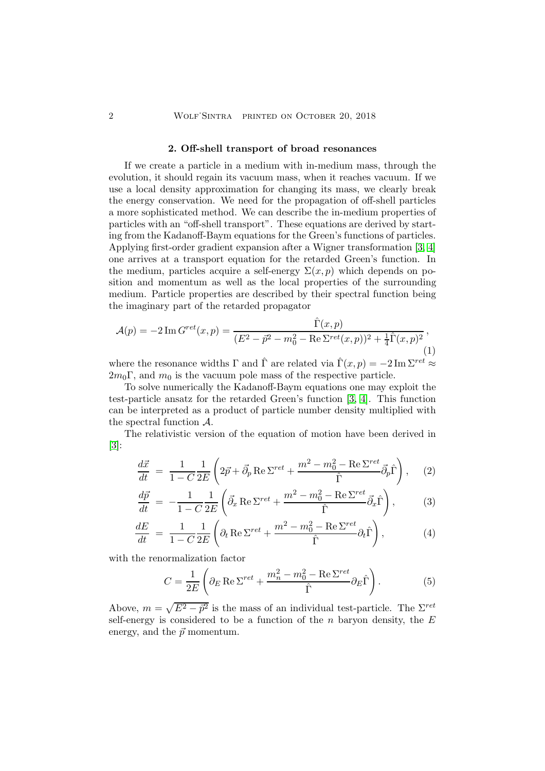#### 2. Off-shell transport of broad resonances

If we create a particle in a medium with in-medium mass, through the evolution, it should regain its vacuum mass, when it reaches vacuum. If we use a local density approximation for changing its mass, we clearly break the energy conservation. We need for the propagation of off-shell particles a more sophisticated method. We can describe the in-medium properties of particles with an "off-shell transport". These equations are derived by starting from the Kadanoff-Baym equations for the Green's functions of particles. Applying first-order gradient expansion after a Wigner transformation [\[3,](#page-5-2) [4\]](#page-5-3) one arrives at a transport equation for the retarded Green's function. In the medium, particles acquire a self-energy  $\Sigma(x, p)$  which depends on position and momentum as well as the local properties of the surrounding medium. Particle properties are described by their spectral function being the imaginary part of the retarded propagator

$$
\mathcal{A}(p) = -2 \operatorname{Im} G^{ret}(x, p) = \frac{\hat{\Gamma}(x, p)}{(E^2 - \vec{p}^2 - m_0^2 - \operatorname{Re} \Sigma^{ret}(x, p))^2 + \frac{1}{4}\hat{\Gamma}(x, p)^2},\tag{1}
$$

where the resonance widths  $\Gamma$  and  $\hat{\Gamma}$  are related via  $\hat{\Gamma}(x, p) = -2 \operatorname{Im} \Sigma^{ret} \approx$  $2m_0\Gamma$ , and  $m_0$  is the vacuum pole mass of the respective particle.

To solve numerically the Kadanoff-Baym equations one may exploit the test-particle ansatz for the retarded Green's function [\[3,](#page-5-2) [4\]](#page-5-3). This function can be interpreted as a product of particle number density multiplied with the spectral function A.

The relativistic version of the equation of motion have been derived in [\[3\]](#page-5-2):

<span id="page-1-0"></span>
$$
\frac{d\vec{x}}{dt} = \frac{1}{1 - C} \frac{1}{2E} \left( 2\vec{p} + \vec{\partial}_p \operatorname{Re} \Sigma^{ret} + \frac{m^2 - m_0^2 - \operatorname{Re} \Sigma^{ret}}{\hat{\Gamma}} \vec{\partial}_p \hat{\Gamma} \right), \quad (2)
$$

$$
\frac{d\vec{p}}{dt} = -\frac{1}{1-C} \frac{1}{2E} \left( \vec{\partial}_x \operatorname{Re} \Sigma^{ret} + \frac{m^2 - m_0^2 - \operatorname{Re} \Sigma^{ret}}{\hat{\Gamma}} \vec{\partial}_x \hat{\Gamma} \right),\tag{3}
$$

$$
\frac{dE}{dt} = \frac{1}{1 - C} \frac{1}{2E} \left( \partial_t \operatorname{Re} \Sigma^{ret} + \frac{m^2 - m_0^2 - \operatorname{Re} \Sigma^{ret}}{\hat{\Gamma}} \partial_t \hat{\Gamma} \right),\tag{4}
$$

with the renormalization factor

$$
C = \frac{1}{2E} \left( \partial_E \operatorname{Re} \Sigma^{ret} + \frac{m_n^2 - m_0^2 - \operatorname{Re} \Sigma^{ret}}{\hat{\Gamma}} \partial_E \hat{\Gamma} \right). \tag{5}
$$

Above,  $m = \sqrt{E^2 - \vec{p}^2}$  is the mass of an individual test-particle. The  $\Sigma^{ret}$ self-energy is considered to be a function of the  $n$  baryon density, the  $E$ energy, and the  $\vec{p}$  momentum.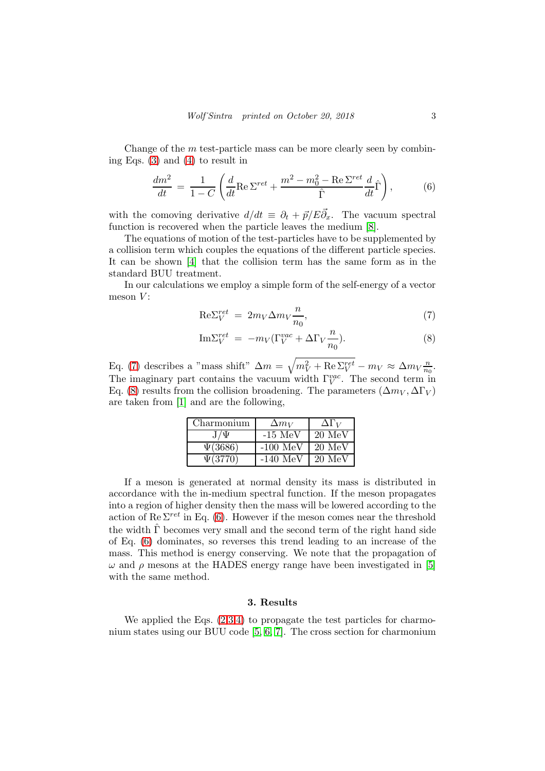Change of the  $m$  test-particle mass can be more clearly seen by combining Eqs. [\(3\)](#page-1-0) and [\(4\)](#page-1-0) to result in

<span id="page-2-1"></span>
$$
\frac{dm^2}{dt} = \frac{1}{1-C} \left( \frac{d}{dt} \text{Re} \Sigma^{ret} + \frac{m^2 - m_0^2 - \text{Re} \Sigma^{ret}}{\hat{\Gamma}} \frac{d}{dt} \hat{\Gamma} \right),\tag{6}
$$

with the comoving derivative  $d/dt = \partial_t + \vec{p}/E\vec{\partial}_x$ . The vacuum spectral function is recovered when the particle leaves the medium [\[8\]](#page-5-4).

The equations of motion of the test-particles have to be supplemented by a collision term which couples the equations of the different particle species. It can be shown [\[4\]](#page-5-3) that the collision term has the same form as in the standard BUU treatment.

In our calculations we employ a simple form of the self-energy of a vector meson  $V$ :

<span id="page-2-0"></span>
$$
\text{Re}\Sigma_V^{ret} = 2m_V \Delta m_V \frac{n}{n_0},\tag{7}
$$

$$
\mathrm{Im}\Sigma_V^{ret} = -m_V(\Gamma_V^{vac} + \Delta\Gamma_V \frac{n}{n_0}).\tag{8}
$$

Eq. [\(7\)](#page-2-0) describes a "mass shift"  $\Delta m = \sqrt{m_V^2 + \text{Re}\Sigma_V^{ret}} - m_V \approx \Delta m_V \frac{n}{n_Q}$  $\frac{n}{n_0}$ . The imaginary part contains the vacuum width  $\Gamma_V^{vac}$ . The second term in Eq. [\(8\)](#page-2-0) results from the collision broadening. The parameters  $(\Delta m_V, \Delta \Gamma_V)$ are taken from [\[1\]](#page-5-0) and are the following,

| Charmonium     | $\Delta m_V$ | $\Delta \Gamma_V$ |
|----------------|--------------|-------------------|
| ${\rm J}/\Psi$ | $-15$ MeV    | $20 \text{ MeV}$  |
| $\Psi(3686)$   | $-100~MeV$   | 20 MeV            |
| $\Psi(3770)$   | $-140$ MeV   | $20 \text{ MeV}$  |

If a meson is generated at normal density its mass is distributed in accordance with the in-medium spectral function. If the meson propagates into a region of higher density then the mass will be lowered according to the action of Re  $\Sigma^{ret}$  in Eq. [\(6\)](#page-2-1). However if the meson comes near the threshold the width  $\hat{\Gamma}$  becomes very small and the second term of the right hand side of Eq. [\(6\)](#page-2-1) dominates, so reverses this trend leading to an increase of the mass. This method is energy conserving. We note that the propagation of  $\omega$  and  $\rho$  mesons at the HADES energy range have been investigated in [\[5\]](#page-5-5) with the same method.

## 3. Results

We applied the Eqs.  $(2,3,4)$  to propagate the test particles for charmonium states using our BUU code [\[5,](#page-5-5) [6,](#page-5-6) [7\]](#page-5-7). The cross section for charmonium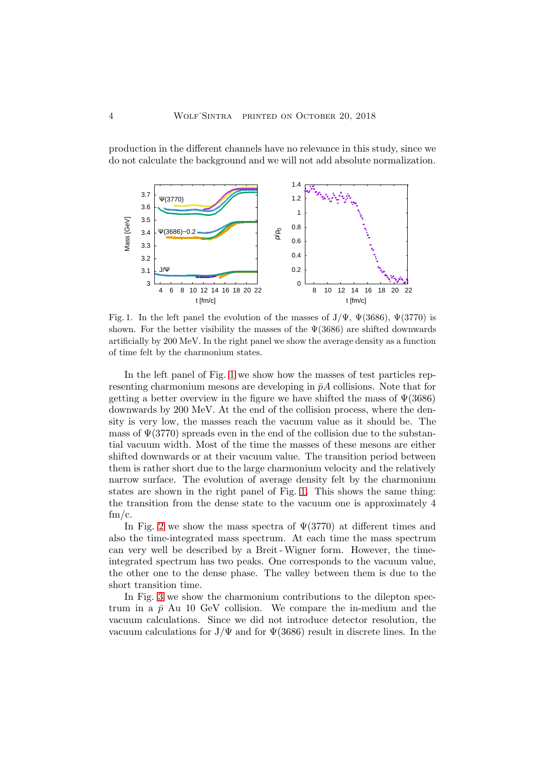production in the different channels have no relevance in this study, since we do not calculate the background and we will not add absolute normalization.



<span id="page-3-0"></span>Fig. 1. In the left panel the evolution of the masses of  $J/\Psi$ ,  $\Psi(3686)$ ,  $\Psi(3770)$  is shown. For the better visibility the masses of the  $\Psi(3686)$  are shifted downwards artificially by 200 MeV. In the right panel we show the average density as a function of time felt by the charmonium states.

In the left panel of Fig. [1](#page-3-0) we show how the masses of test particles representing charmonium mesons are developing in  $\bar{p}A$  collisions. Note that for getting a better overview in the figure we have shifted the mass of  $\Psi(3686)$ downwards by 200 MeV. At the end of the collision process, where the density is very low, the masses reach the vacuum value as it should be. The mass of  $\Psi(3770)$  spreads even in the end of the collision due to the substantial vacuum width. Most of the time the masses of these mesons are either shifted downwards or at their vacuum value. The transition period between them is rather short due to the large charmonium velocity and the relatively narrow surface. The evolution of average density felt by the charmonium states are shown in the right panel of Fig. [1.](#page-3-0) This shows the same thing: the transition from the dense state to the vacuum one is approximately 4  $\mathrm{fm/c}$ .

In Fig. [2](#page-4-0) we show the mass spectra of  $\Psi(3770)$  at different times and also the time-integrated mass spectrum. At each time the mass spectrum can very well be described by a Breit -Wigner form. However, the timeintegrated spectrum has two peaks. One corresponds to the vacuum value, the other one to the dense phase. The valley between them is due to the short transition time.

In Fig. [3](#page-5-8) we show the charmonium contributions to the dilepton spectrum in a  $\bar{p}$  Au 10 GeV collision. We compare the in-medium and the vacuum calculations. Since we did not introduce detector resolution, the vacuum calculations for  $J/\Psi$  and for  $\Psi(3686)$  result in discrete lines. In the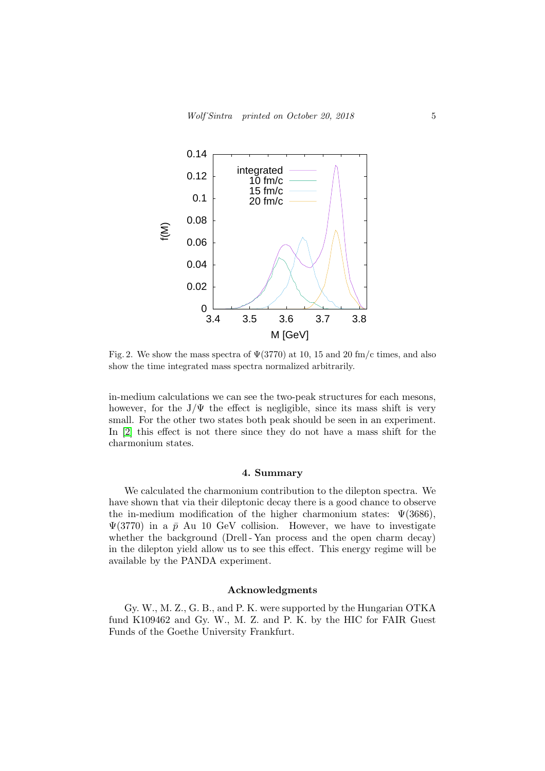

<span id="page-4-0"></span>Fig. 2. We show the mass spectra of  $\Psi(3770)$  at 10, 15 and 20 fm/c times, and also show the time integrated mass spectra normalized arbitrarily.

in-medium calculations we can see the two-peak structures for each mesons, however, for the  $J/\Psi$  the effect is negligible, since its mass shift is very small. For the other two states both peak should be seen in an experiment. In [\[2\]](#page-5-1) this effect is not there since they do not have a mass shift for the charmonium states.

## 4. Summary

We calculated the charmonium contribution to the dilepton spectra. We have shown that via their dileptonic decay there is a good chance to observe the in-medium modification of the higher charmonium states:  $\Psi(3686)$ ,  $\Psi(3770)$  in a  $\bar{p}$  Au 10 GeV collision. However, we have to investigate whether the background (Drell-Yan process and the open charm decay) in the dilepton yield allow us to see this effect. This energy regime will be available by the PANDA experiment.

# Acknowledgments

Gy. W., M. Z., G. B., and P. K. were supported by the Hungarian OTKA fund K109462 and Gy. W., M. Z. and P. K. by the HIC for FAIR Guest Funds of the Goethe University Frankfurt.